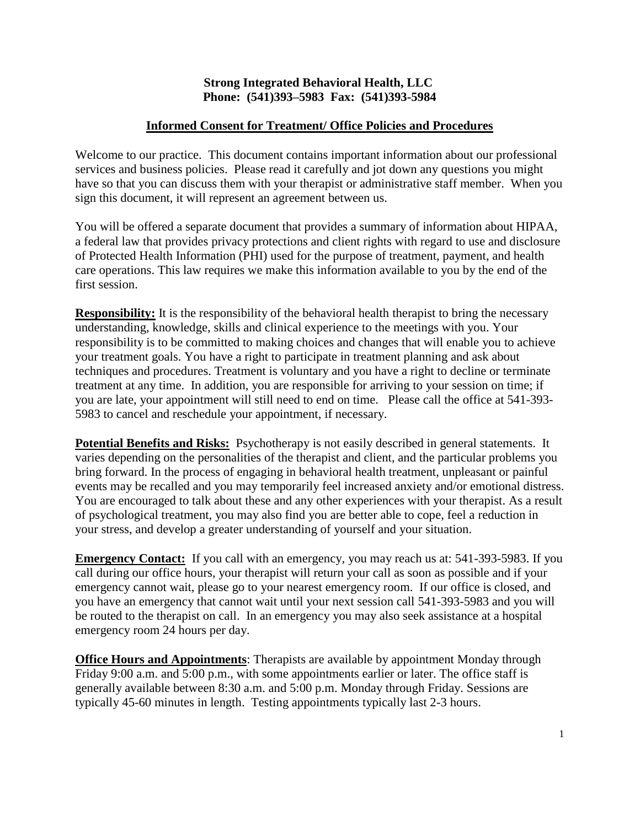#### **Strong Integrated Behavioral Health, LLC Phone: (541)393–5983 Fax: (541)393-5984**

### **Informed Consent for Treatment/ Office Policies and Procedures**

Welcome to our practice. This document contains important information about our professional services and business policies. Please read it carefully and jot down any questions you might have so that you can discuss them with your therapist or administrative staff member. When you sign this document, it will represent an agreement between us.

You will be offered a separate document that provides a summary of information about HIPAA, a federal law that provides privacy protections and client rights with regard to use and disclosure of Protected Health Information (PHI) used for the purpose of treatment, payment, and health care operations. This law requires we make this information available to you by the end of the first session.

**Responsibility:** It is the responsibility of the behavioral health therapist to bring the necessary understanding, knowledge, skills and clinical experience to the meetings with you. Your responsibility is to be committed to making choices and changes that will enable you to achieve your treatment goals. You have a right to participate in treatment planning and ask about techniques and procedures. Treatment is voluntary and you have a right to decline or terminate treatment at any time. In addition, you are responsible for arriving to your session on time; if you are late, your appointment will still need to end on time. Please call the office at 541-393- 5983 to cancel and reschedule your appointment, if necessary.

**Potential Benefits and Risks:** Psychotherapy is not easily described in general statements. It varies depending on the personalities of the therapist and client, and the particular problems you bring forward. In the process of engaging in behavioral health treatment, unpleasant or painful events may be recalled and you may temporarily feel increased anxiety and/or emotional distress. You are encouraged to talk about these and any other experiences with your therapist. As a result of psychological treatment, you may also find you are better able to cope, feel a reduction in your stress, and develop a greater understanding of yourself and your situation.

**Emergency Contact:** If you call with an emergency, you may reach us at: 541-393-5983. If you call during our office hours, your therapist will return your call as soon as possible and if your emergency cannot wait, please go to your nearest emergency room. If our office is closed, and you have an emergency that cannot wait until your next session call 541-393-5983 and you will be routed to the therapist on call. In an emergency you may also seek assistance at a hospital emergency room 24 hours per day.

**Office Hours and Appointments**: Therapists are available by appointment Monday through Friday 9:00 a.m. and 5:00 p.m., with some appointments earlier or later. The office staff is generally available between 8:30 a.m. and 5:00 p.m. Monday through Friday. Sessions are typically 45-60 minutes in length. Testing appointments typically last 2-3 hours.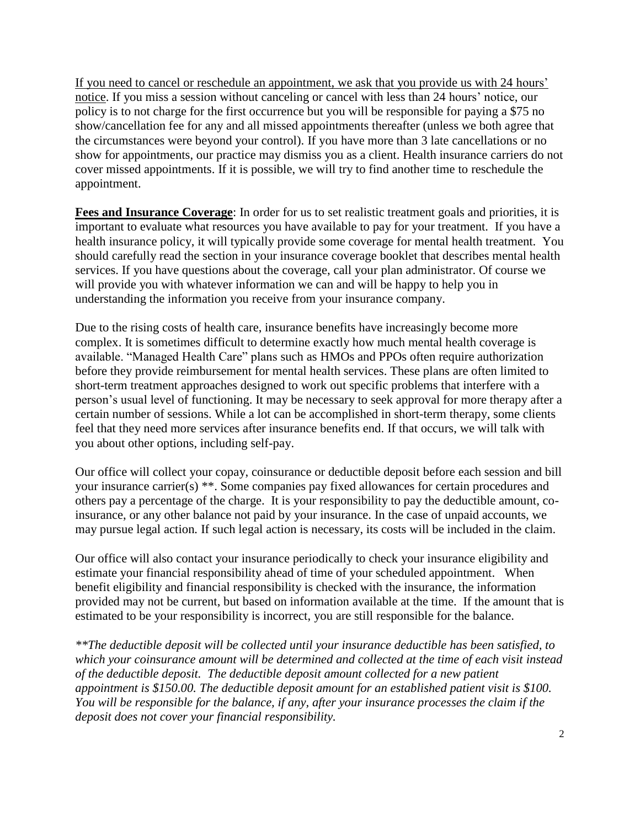If you need to cancel or reschedule an appointment, we ask that you provide us with 24 hours' notice. If you miss a session without canceling or cancel with less than 24 hours' notice, our policy is to not charge for the first occurrence but you will be responsible for paying a \$75 no show/cancellation fee for any and all missed appointments thereafter (unless we both agree that the circumstances were beyond your control). If you have more than 3 late cancellations or no show for appointments, our practice may dismiss you as a client. Health insurance carriers do not cover missed appointments. If it is possible, we will try to find another time to reschedule the appointment.

**Fees and Insurance Coverage**: In order for us to set realistic treatment goals and priorities, it is important to evaluate what resources you have available to pay for your treatment. If you have a health insurance policy, it will typically provide some coverage for mental health treatment. You should carefully read the section in your insurance coverage booklet that describes mental health services. If you have questions about the coverage, call your plan administrator. Of course we will provide you with whatever information we can and will be happy to help you in understanding the information you receive from your insurance company.

Due to the rising costs of health care, insurance benefits have increasingly become more complex. It is sometimes difficult to determine exactly how much mental health coverage is available. "Managed Health Care" plans such as HMOs and PPOs often require authorization before they provide reimbursement for mental health services. These plans are often limited to short-term treatment approaches designed to work out specific problems that interfere with a person's usual level of functioning. It may be necessary to seek approval for more therapy after a certain number of sessions. While a lot can be accomplished in short-term therapy, some clients feel that they need more services after insurance benefits end. If that occurs, we will talk with you about other options, including self-pay.

Our office will collect your copay, coinsurance or deductible deposit before each session and bill your insurance carrier(s) \*\*. Some companies pay fixed allowances for certain procedures and others pay a percentage of the charge. It is your responsibility to pay the deductible amount, coinsurance, or any other balance not paid by your insurance. In the case of unpaid accounts, we may pursue legal action*.* If such legal action is necessary, its costs will be included in the claim.

Our office will also contact your insurance periodically to check your insurance eligibility and estimate your financial responsibility ahead of time of your scheduled appointment. When benefit eligibility and financial responsibility is checked with the insurance, the information provided may not be current, but based on information available at the time. If the amount that is estimated to be your responsibility is incorrect, you are still responsible for the balance.

*\*\*The deductible deposit will be collected until your insurance deductible has been satisfied, to which your coinsurance amount will be determined and collected at the time of each visit instead of the deductible deposit. The deductible deposit amount collected for a new patient appointment is \$150.00. The deductible deposit amount for an established patient visit is \$100. You will be responsible for the balance, if any, after your insurance processes the claim if the deposit does not cover your financial responsibility.*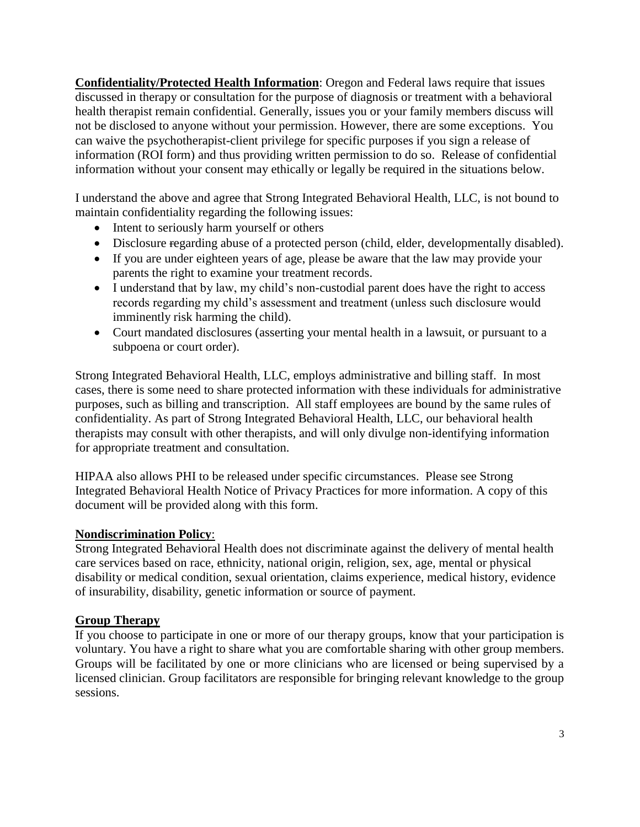**Confidentiality/Protected Health Information**: Oregon and Federal laws require that issues discussed in therapy or consultation for the purpose of diagnosis or treatment with a behavioral health therapist remain confidential. Generally, issues you or your family members discuss will not be disclosed to anyone without your permission. However, there are some exceptions. You can waive the psychotherapist-client privilege for specific purposes if you sign a release of information (ROI form) and thus providing written permission to do so. Release of confidential information without your consent may ethically or legally be required in the situations below.

I understand the above and agree that Strong Integrated Behavioral Health, LLC, is not bound to maintain confidentiality regarding the following issues:

- Intent to seriously harm yourself or others
- Disclosure regarding abuse of a protected person (child, elder, developmentally disabled).
- If you are under eighteen years of age, please be aware that the law may provide your parents the right to examine your treatment records.
- I understand that by law, my child's non-custodial parent does have the right to access records regarding my child's assessment and treatment (unless such disclosure would imminently risk harming the child).
- Court mandated disclosures (asserting your mental health in a lawsuit, or pursuant to a subpoena or court order).

Strong Integrated Behavioral Health, LLC, employs administrative and billing staff. In most cases, there is some need to share protected information with these individuals for administrative purposes, such as billing and transcription. All staff employees are bound by the same rules of confidentiality. As part of Strong Integrated Behavioral Health, LLC, our behavioral health therapists may consult with other therapists, and will only divulge non-identifying information for appropriate treatment and consultation.

HIPAA also allows PHI to be released under specific circumstances. Please see Strong Integrated Behavioral Health Notice of Privacy Practices for more information. A copy of this document will be provided along with this form.

# **Nondiscrimination Policy**:

Strong Integrated Behavioral Health does not discriminate against the delivery of mental health care services based on race, ethnicity, national origin, religion, sex, age, mental or physical disability or medical condition, sexual orientation, claims experience, medical history, evidence of insurability, disability, genetic information or source of payment.

# **Group Therapy**

If you choose to participate in one or more of our therapy groups, know that your participation is voluntary. You have a right to share what you are comfortable sharing with other group members. Groups will be facilitated by one or more clinicians who are licensed or being supervised by a licensed clinician. Group facilitators are responsible for bringing relevant knowledge to the group sessions.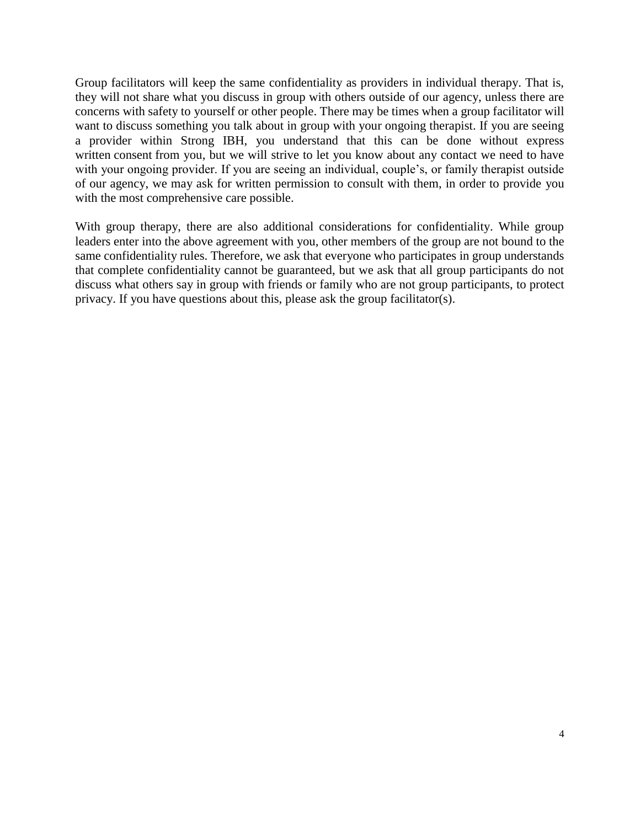Group facilitators will keep the same confidentiality as providers in individual therapy. That is, they will not share what you discuss in group with others outside of our agency, unless there are concerns with safety to yourself or other people. There may be times when a group facilitator will want to discuss something you talk about in group with your ongoing therapist. If you are seeing a provider within Strong IBH, you understand that this can be done without express written consent from you, but we will strive to let you know about any contact we need to have with your ongoing provider. If you are seeing an individual, couple's, or family therapist outside of our agency, we may ask for written permission to consult with them, in order to provide you with the most comprehensive care possible.

With group therapy, there are also additional considerations for confidentiality. While group leaders enter into the above agreement with you, other members of the group are not bound to the same confidentiality rules. Therefore, we ask that everyone who participates in group understands that complete confidentiality cannot be guaranteed, but we ask that all group participants do not discuss what others say in group with friends or family who are not group participants, to protect privacy. If you have questions about this, please ask the group facilitator(s).